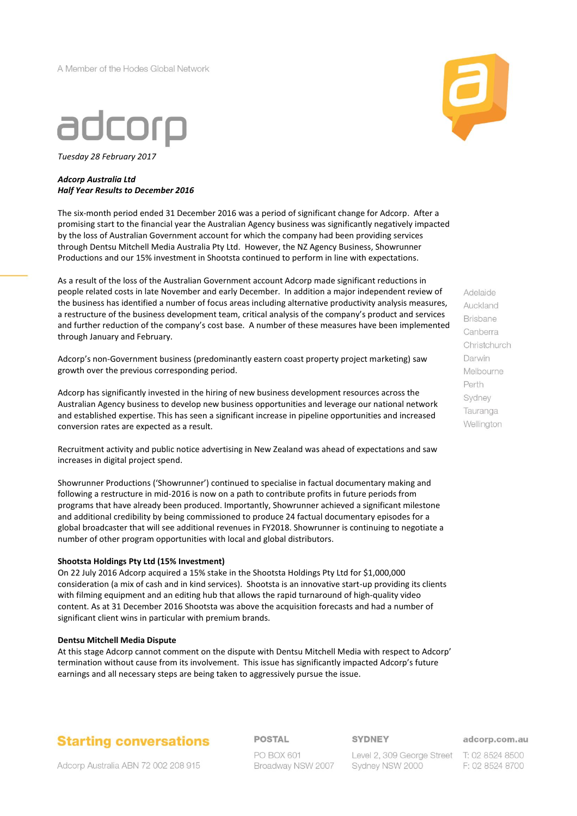

*Tuesday 28 February 2017*

#### *Adcorp Australia Ltd Half Year Results to December 2016*

The six-month period ended 31 December 2016 was a period of significant change for Adcorp. After a promising start to the financial year the Australian Agency business was significantly negatively impacted by the loss of Australian Government account for which the company had been providing services through Dentsu Mitchell Media Australia Pty Ltd. However, the NZ Agency Business, Showrunner Productions and our 15% investment in Shootsta continued to perform in line with expectations.

As a result of the loss of the Australian Government account Adcorp made significant reductions in people related costs in late November and early December. In addition a major independent review of the business has identified a number of focus areas including alternative productivity analysis measures, a restructure of the business development team, critical analysis of the company's product and services and further reduction of the company's cost base. A number of these measures have been implemented through January and February.

Adcorp's non-Government business (predominantly eastern coast property project marketing) saw growth over the previous corresponding period.

Adcorp has significantly invested in the hiring of new business development resources across the Australian Agency business to develop new business opportunities and leverage our national network and established expertise. This has seen a significant increase in pipeline opportunities and increased conversion rates are expected as a result.

Recruitment activity and public notice advertising in New Zealand was ahead of expectations and saw increases in digital project spend.

Showrunner Productions ('Showrunner') continued to specialise in factual documentary making and following a restructure in mid-2016 is now on a path to contribute profits in future periods from programs that have already been produced. Importantly, Showrunner achieved a significant milestone and additional credibility by being commissioned to produce 24 factual documentary episodes for a global broadcaster that will see additional revenues in FY2018. Showrunner is continuing to negotiate a number of other program opportunities with local and global distributors.

#### **Shootsta Holdings Pty Ltd (15% Investment)**

On 22 July 2016 Adcorp acquired a 15% stake in the Shootsta Holdings Pty Ltd for \$1,000,000 consideration (a mix of cash and in kind services). Shootsta is an innovative start-up providing its clients with filming equipment and an editing hub that allows the rapid turnaround of high-quality video content. As at 31 December 2016 Shootsta was above the acquisition forecasts and had a number of significant client wins in particular with premium brands.

#### **Dentsu Mitchell Media Dispute**

At this stage Adcorp cannot comment on the dispute with Dentsu Mitchell Media with respect to Adcorp' termination without cause from its involvement. This issue has significantly impacted Adcorp's future earnings and all necessary steps are being taken to aggressively pursue the issue.

### **Starting conversations**

Adcorp Australia ABN 72 002 208 915

**POSTAL** 

PO BOX 601

Broadway NSW 2007 Sydney NSW 2000

**SYDNEY** 

Adelaide Auckland **Brisbane** Canberra Christchurch Darwin Melbourne Perth Sydney Tauranga Wellington

adcorp.com.au

Level 2, 309 George Street T: 02 8524 8500 F: 02 8524 8700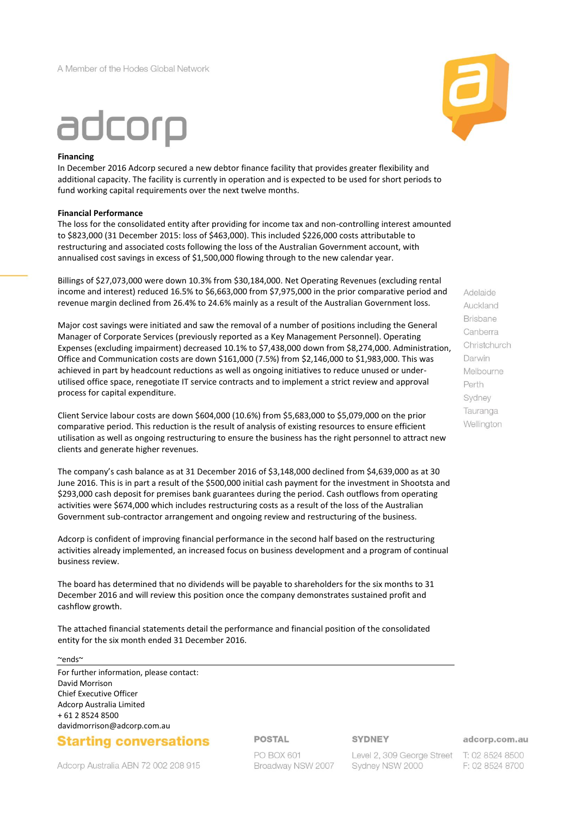# adcorp

#### **Financing**

In December 2016 Adcorp secured a new debtor finance facility that provides greater flexibility and additional capacity. The facility is currently in operation and is expected to be used for short periods to fund working capital requirements over the next twelve months.

#### **Financial Performance**

The loss for the consolidated entity after providing for income tax and non-controlling interest amounted to \$823,000 (31 December 2015: loss of \$463,000). This included \$226,000 costs attributable to restructuring and associated costs following the loss of the Australian Government account, with annualised cost savings in excess of \$1,500,000 flowing through to the new calendar year.

Billings of \$27,073,000 were down 10.3% from \$30,184,000. Net Operating Revenues (excluding rental income and interest) reduced 16.5% to \$6,663,000 from \$7,975,000 in the prior comparative period and revenue margin declined from 26.4% to 24.6% mainly as a result of the Australian Government loss.

Major cost savings were initiated and saw the removal of a number of positions including the General Manager of Corporate Services (previously reported as a Key Management Personnel). Operating Expenses (excluding impairment) decreased 10.1% to \$7,438,000 down from \$8,274,000. Administration, Office and Communication costs are down \$161,000 (7.5%) from \$2,146,000 to \$1,983,000. This was achieved in part by headcount reductions as well as ongoing initiatives to reduce unused or underutilised office space, renegotiate IT service contracts and to implement a strict review and approval process for capital expenditure.

Client Service labour costs are down \$604,000 (10.6%) from \$5,683,000 to \$5,079,000 on the prior comparative period. This reduction is the result of analysis of existing resources to ensure efficient utilisation as well as ongoing restructuring to ensure the business has the right personnel to attract new clients and generate higher revenues.

The company's cash balance as at 31 December 2016 of \$3,148,000 declined from \$4,639,000 as at 30 June 2016. This is in part a result of the \$500,000 initial cash payment for the investment in Shootsta and \$293,000 cash deposit for premises bank guarantees during the period. Cash outflows from operating activities were \$674,000 which includes restructuring costs as a result of the loss of the Australian Government sub-contractor arrangement and ongoing review and restructuring of the business.

Adcorp is confident of improving financial performance in the second half based on the restructuring activities already implemented, an increased focus on business development and a program of continual business review.

The board has determined that no dividends will be payable to shareholders for the six months to 31 December 2016 and will review this position once the company demonstrates sustained profit and cashflow growth.

The attached financial statements detail the performance and financial position of the consolidated entity for the six month ended 31 December 2016.

#### ~ends~

For further information, please contact: David Morrison Chief Executive Officer Adcorp Australia Limited + 61 2 8524 8500 davidmorrison@adcorp.com.au

#### **Starting conversations**

**POSTAL** 

PO BOX 601 Broadway NSW 2007 Level 2, 309 George Street T: 02 8524 8500 Sydney NSW 2000

**SYDNEY** 

adcorp.com.au

F: 02 8524 8700



Auckland **Brisbane** Canberra Christchurch Darwin Melbourne Perth Sydney Tauranga Wellington

Adelaide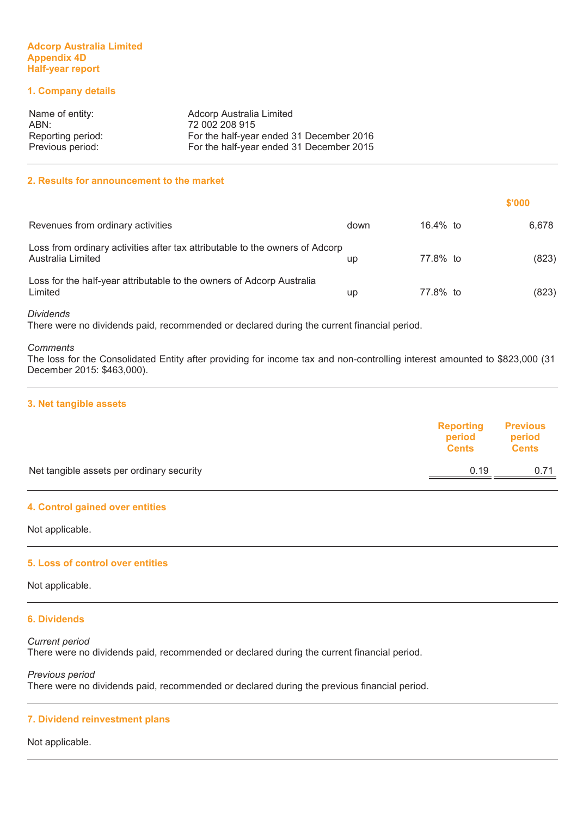#### **Adcorp Australia Limited Appendix 4D Half-year report**

#### **1. Company details**

| Name of entity:   | Adcorp Australia Limited                 |
|-------------------|------------------------------------------|
| ABN:              | 72 002 208 915                           |
| Reporting period: | For the half-year ended 31 December 2016 |
| Previous period:  | For the half-year ended 31 December 2015 |

#### **2. Results for announcement to the market**

|                                                                                                   |      |             | \$'000 |
|---------------------------------------------------------------------------------------------------|------|-------------|--------|
| Revenues from ordinary activities                                                                 | down | $16.4\%$ to | 6.678  |
| Loss from ordinary activities after tax attributable to the owners of Adcorp<br>Australia Limited | up   | 77.8% to    | (823)  |
| Loss for the half-year attributable to the owners of Adcorp Australia<br>Limited                  | up   | 77.8% to    | (823)  |

#### *Dividends*

There were no dividends paid, recommended or declared during the current financial period.

#### *Comments*

The loss for the Consolidated Entity after providing for income tax and non-controlling interest amounted to \$823,000 (31 December 2015: \$463,000).

#### **3. Net tangible assets**

|                                           | <b>Reporting</b><br>period<br><b>Cents</b> | <b>Previous</b><br>period<br><b>Cents</b> |
|-------------------------------------------|--------------------------------------------|-------------------------------------------|
| Net tangible assets per ordinary security | 0.19                                       | 0.71                                      |
|                                           |                                            |                                           |

#### **4. Control gained over entities**

Not applicable.

#### **5. Loss of control over entities**

Not applicable.

#### **6. Dividends**

*Current period*  There were no dividends paid, recommended or declared during the current financial period.

*Previous period* 

There were no dividends paid, recommended or declared during the previous financial period.

#### **7. Dividend reinvestment plans**

Not applicable.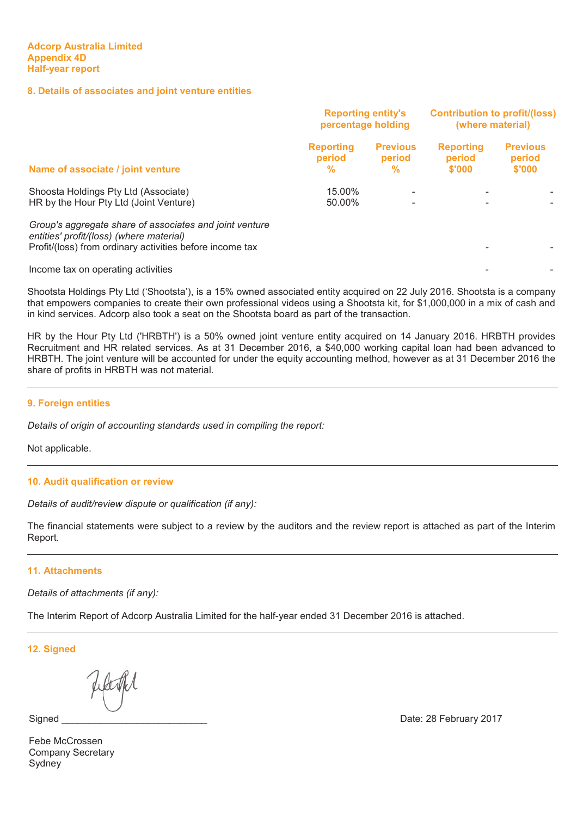#### **8. Details of associates and joint venture entities**

|                                                                                                                                                                 | <b>Reporting entity's</b><br>percentage holding |                                   | <b>Contribution to profit/(loss)</b><br>(where material) |                                     |
|-----------------------------------------------------------------------------------------------------------------------------------------------------------------|-------------------------------------------------|-----------------------------------|----------------------------------------------------------|-------------------------------------|
| Name of associate / joint venture                                                                                                                               | <b>Reporting</b><br>period<br>$\%$              | <b>Previous</b><br>period<br>$\%$ | <b>Reporting</b><br>period<br>\$'000                     | <b>Previous</b><br>period<br>\$'000 |
| Shoosta Holdings Pty Ltd (Associate)<br>HR by the Hour Pty Ltd (Joint Venture)                                                                                  | 15.00%<br>50.00%                                | $\overline{\phantom{a}}$          |                                                          |                                     |
| Group's aggregate share of associates and joint venture<br>entities' profit/(loss) (where material)<br>Profit/(loss) from ordinary activities before income tax |                                                 |                                   |                                                          |                                     |
| Income tax on operating activities                                                                                                                              |                                                 |                                   |                                                          |                                     |

Shootsta Holdings Pty Ltd ('Shootsta'), is a 15% owned associated entity acquired on 22 July 2016. Shootsta is a company that empowers companies to create their own professional videos using a Shootsta kit, for \$1,000,000 in a mix of cash and in kind services. Adcorp also took a seat on the Shootsta board as part of the transaction.

HR by the Hour Pty Ltd ('HRBTH') is a 50% owned joint venture entity acquired on 14 January 2016. HRBTH provides Recruitment and HR related services. As at 31 December 2016, a \$40,000 working capital loan had been advanced to HRBTH. The joint venture will be accounted for under the equity accounting method, however as at 31 December 2016 the share of profits in HRBTH was not material.

#### **9. Foreign entities**

*Details of origin of accounting standards used in compiling the report:* 

Not applicable.

#### **10. Audit qualification or review**

*Details of audit/review dispute or qualification (if any):* 

The financial statements were subject to a review by the auditors and the review report is attached as part of the Interim Report.

#### **11. Attachments**

*Details of attachments (if any):* 

The Interim Report of Adcorp Australia Limited for the half-year ended 31 December 2016 is attached.

**12. Signed**

Signed

Febe McCrossen Company Secretary Sydney

Date: 28 February 2017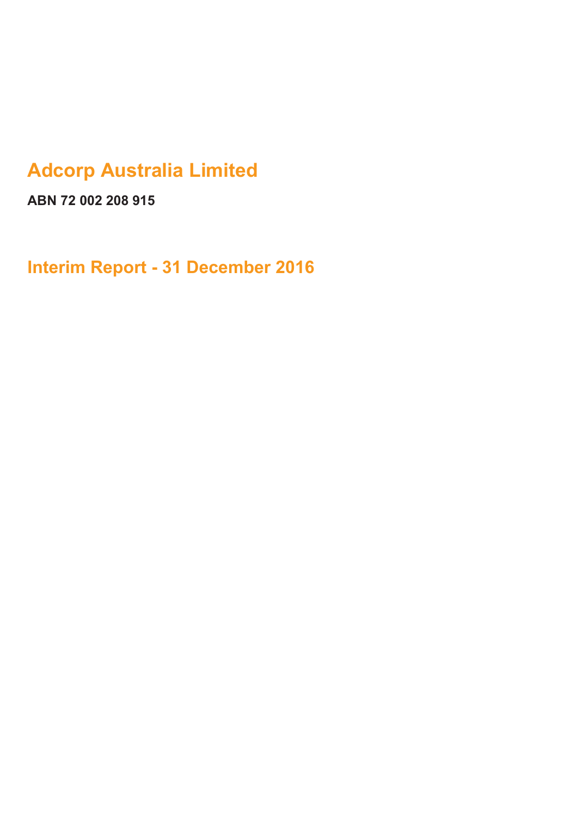## **Adcorp Australia Limited**

**ABN 72 002 208 915**

**Interim Report - 31 December 2016**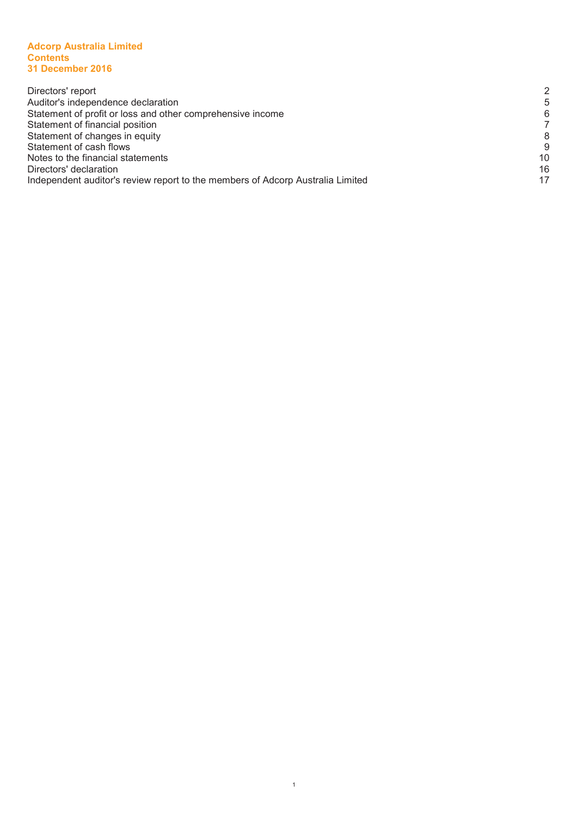#### **Adcorp Australia Limited Contents 31 December 2016**

| Directors' report                                                              | 2  |
|--------------------------------------------------------------------------------|----|
| Auditor's independence declaration                                             | 5  |
| Statement of profit or loss and other comprehensive income                     | 6  |
| Statement of financial position                                                |    |
| Statement of changes in equity                                                 | 8  |
| Statement of cash flows                                                        | 9  |
| Notes to the financial statements                                              | 10 |
| Directors' declaration                                                         | 16 |
| Independent auditor's review report to the members of Adcorp Australia Limited | 17 |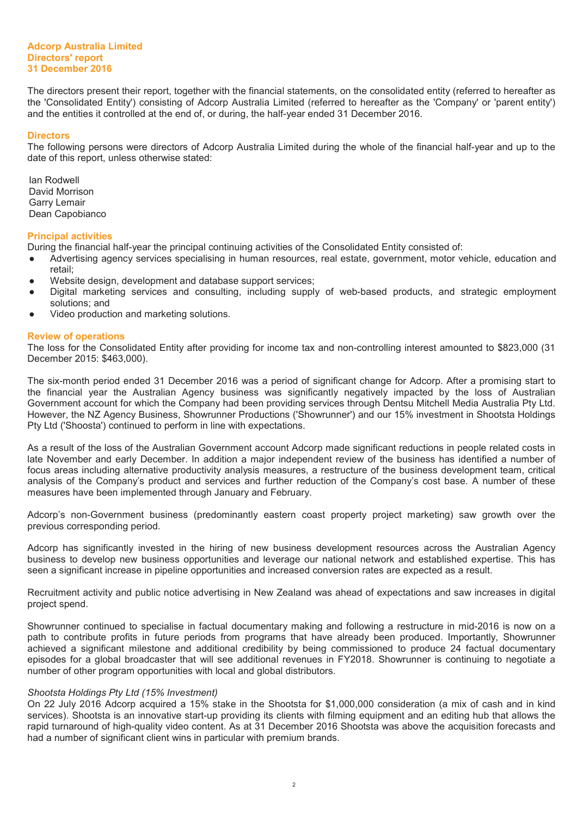#### **Adcorp Australia Limited Directors' report 31 December 2016**

The directors present their report, together with the financial statements, on the consolidated entity (referred to hereafter as the 'Consolidated Entity') consisting of Adcorp Australia Limited (referred to hereafter as the 'Company' or 'parent entity') and the entities it controlled at the end of, or during, the half-year ended 31 December 2016.

#### **Directors**

The following persons were directors of Adcorp Australia Limited during the whole of the financial half-year and up to the date of this report, unless otherwise stated:

Ian Rodwell David Morrison Garry Lemair Dean Capobianco

#### **Principal activities**

During the financial half-year the principal continuing activities of the Consolidated Entity consisted of:

- Ɣ Advertising agency services specialising in human resources, real estate, government, motor vehicle, education and retail;
- Ɣ Website design, development and database support services;
- Digital marketing services and consulting, including supply of web-based products, and strategic employment solutions; and
- Video production and marketing solutions.

#### **Review of operations**

The loss for the Consolidated Entity after providing for income tax and non-controlling interest amounted to \$823,000 (31 December 2015: \$463,000).

The six-month period ended 31 December 2016 was a period of significant change for Adcorp. After a promising start to the financial year the Australian Agency business was significantly negatively impacted by the loss of Australian Government account for which the Company had been providing services through Dentsu Mitchell Media Australia Pty Ltd. However, the NZ Agency Business, Showrunner Productions ('Showrunner') and our 15% investment in Shootsta Holdings Pty Ltd ('Shoosta') continued to perform in line with expectations.

As a result of the loss of the Australian Government account Adcorp made significant reductions in people related costs in late November and early December. In addition a major independent review of the business has identified a number of focus areas including alternative productivity analysis measures, a restructure of the business development team, critical analysis of the Company's product and services and further reduction of the Company's cost base. A number of these measures have been implemented through January and February.

Adcorp's non-Government business (predominantly eastern coast property project marketing) saw growth over the previous corresponding period.

Adcorp has significantly invested in the hiring of new business development resources across the Australian Agency business to develop new business opportunities and leverage our national network and established expertise. This has seen a significant increase in pipeline opportunities and increased conversion rates are expected as a result.

Recruitment activity and public notice advertising in New Zealand was ahead of expectations and saw increases in digital project spend.

Showrunner continued to specialise in factual documentary making and following a restructure in mid-2016 is now on a path to contribute profits in future periods from programs that have already been produced. Importantly, Showrunner achieved a significant milestone and additional credibility by being commissioned to produce 24 factual documentary episodes for a global broadcaster that will see additional revenues in FY2018. Showrunner is continuing to negotiate a number of other program opportunities with local and global distributors.

#### *Shootsta Holdings Pty Ltd (15% Investment)*

On 22 July 2016 Adcorp acquired a 15% stake in the Shootsta for \$1,000,000 consideration (a mix of cash and in kind services). Shootsta is an innovative start-up providing its clients with filming equipment and an editing hub that allows the rapid turnaround of high-quality video content. As at 31 December 2016 Shootsta was above the acquisition forecasts and had a number of significant client wins in particular with premium brands.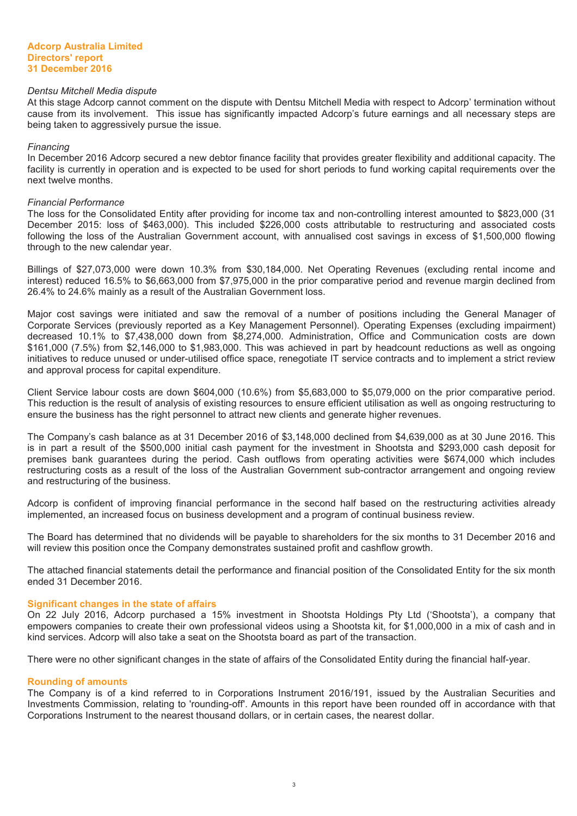#### *Dentsu Mitchell Media dispute*

At this stage Adcorp cannot comment on the dispute with Dentsu Mitchell Media with respect to Adcorp' termination without cause from its involvement. This issue has significantly impacted Adcorp's future earnings and all necessary steps are being taken to aggressively pursue the issue.

#### *Financing*

In December 2016 Adcorp secured a new debtor finance facility that provides greater flexibility and additional capacity. The facility is currently in operation and is expected to be used for short periods to fund working capital requirements over the next twelve months.

#### *Financial Performance*

The loss for the Consolidated Entity after providing for income tax and non-controlling interest amounted to \$823,000 (31 December 2015: loss of \$463,000). This included \$226,000 costs attributable to restructuring and associated costs following the loss of the Australian Government account, with annualised cost savings in excess of \$1,500,000 flowing through to the new calendar year.

Billings of \$27,073,000 were down 10.3% from \$30,184,000. Net Operating Revenues (excluding rental income and interest) reduced 16.5% to \$6,663,000 from \$7,975,000 in the prior comparative period and revenue margin declined from 26.4% to 24.6% mainly as a result of the Australian Government loss.

Major cost savings were initiated and saw the removal of a number of positions including the General Manager of Corporate Services (previously reported as a Key Management Personnel). Operating Expenses (excluding impairment) decreased 10.1% to \$7,438,000 down from \$8,274,000. Administration, Office and Communication costs are down \$161,000 (7.5%) from \$2,146,000 to \$1,983,000. This was achieved in part by headcount reductions as well as ongoing initiatives to reduce unused or under-utilised office space, renegotiate IT service contracts and to implement a strict review and approval process for capital expenditure.

Client Service labour costs are down \$604,000 (10.6%) from \$5,683,000 to \$5,079,000 on the prior comparative period. This reduction is the result of analysis of existing resources to ensure efficient utilisation as well as ongoing restructuring to ensure the business has the right personnel to attract new clients and generate higher revenues.

The Company's cash balance as at 31 December 2016 of \$3,148,000 declined from \$4,639,000 as at 30 June 2016. This is in part a result of the \$500,000 initial cash payment for the investment in Shootsta and \$293,000 cash deposit for premises bank guarantees during the period. Cash outflows from operating activities were \$674,000 which includes restructuring costs as a result of the loss of the Australian Government sub-contractor arrangement and ongoing review and restructuring of the business.

Adcorp is confident of improving financial performance in the second half based on the restructuring activities already implemented, an increased focus on business development and a program of continual business review.

The Board has determined that no dividends will be payable to shareholders for the six months to 31 December 2016 and will review this position once the Company demonstrates sustained profit and cashflow growth.

The attached financial statements detail the performance and financial position of the Consolidated Entity for the six month ended 31 December 2016.

#### **Significant changes in the state of affairs**

On 22 July 2016, Adcorp purchased a 15% investment in Shootsta Holdings Pty Ltd ('Shootsta'), a company that empowers companies to create their own professional videos using a Shootsta kit, for \$1,000,000 in a mix of cash and in kind services. Adcorp will also take a seat on the Shootsta board as part of the transaction.

There were no other significant changes in the state of affairs of the Consolidated Entity during the financial half-year.

#### **Rounding of amounts**

The Company is of a kind referred to in Corporations Instrument 2016/191, issued by the Australian Securities and Investments Commission, relating to 'rounding-off'. Amounts in this report have been rounded off in accordance with that Corporations Instrument to the nearest thousand dollars, or in certain cases, the nearest dollar.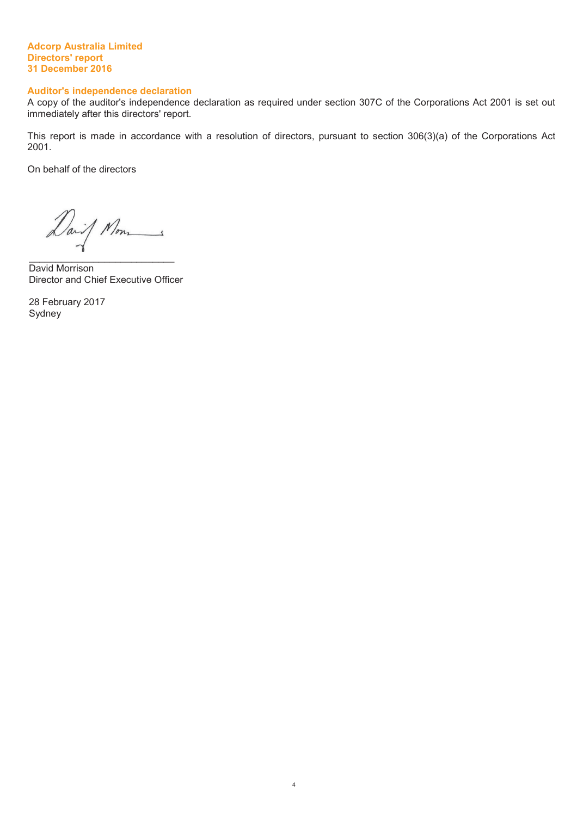#### **Adcorp Australia Limited Directors' report 31 December 2016**

#### **Auditor's independence declaration**

A copy of the auditor's independence declaration as required under section 307C of the Corporations Act 2001 is set out immediately after this directors' report.

This report is made in accordance with a resolution of directors, pursuant to section 306(3)(a) of the Corporations Act 2001.

4

On behalf of the directors

Daif Mon 1 \_\_\_\_\_\_\_\_\_\_\_\_\_\_\_\_\_\_\_\_\_\_\_\_\_\_\_

David Morrison Director and Chief Executive Officer

28 February 2017 Sydney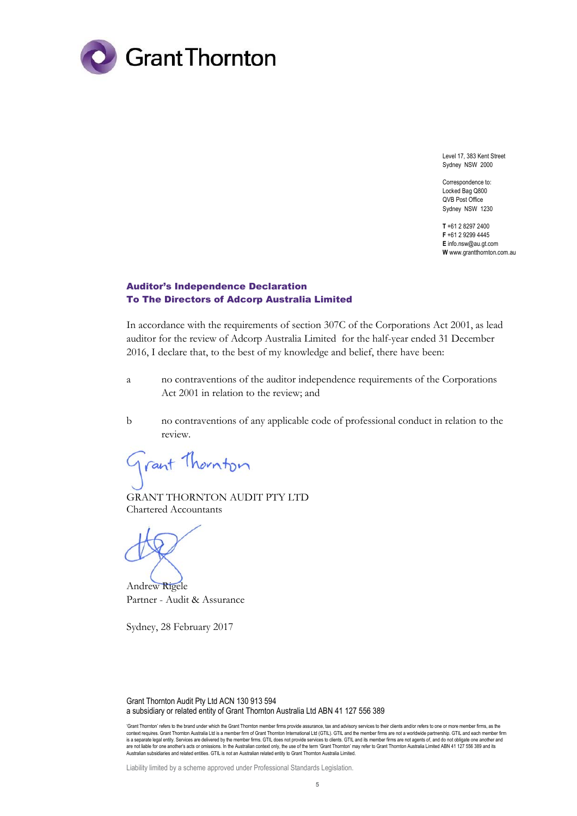

Level 17, 383 Kent Street Sydney NSW 2000

Correspondence to: Locked Bag Q800 QVB Post Office Sydney NSW 1230

**T** +61 2 8297 2400 **F** +61 2 9299 4445 **E** info.nsw@au.gt.com **W** www.grantthornton.com.au

#### Auditor's Independence Declaration To The Directors of Adcorp Australia Limited

In accordance with the requirements of section 307C of the Corporations Act 2001, as lead auditor for the review of Adcorp Australia Limited for the half-year ended 31 December 2016, I declare that, to the best of my knowledge and belief, there have been:

- a no contraventions of the auditor independence requirements of the Corporations Act 2001 in relation to the review; and
- b no contraventions of any applicable code of professional conduct in relation to the review.

Trant Thornton

GRANT THORNTON AUDIT PTY LTD Chartered Accountants

Andrew Rigele Partner - Audit & Assurance

Sydney, 28 February 2017

Grant Thornton Audit Pty Ltd ACN 130 913 594 a subsidiary or related entity of Grant Thornton Australia Ltd ABN 41 127 556 389

Liability limited by a scheme approved under Professional Standards Legislation.

<sup>&#</sup>x27;Grant Thornton' refers to the brand under which the Grant Thornton member firms provide assurance, tax and advisory services to their clients and/or refers to one or more member firms, as the context requires. Grant Thornton Australia Ltd is a member firm of Grant Thornton International Ltd (GTIL). GTIL and the member firms are not a worldwide partnership. GTIL and each member firm is a separate legal entity. Services are delivered by the member firms. GTIL does not provide services to clients. GTIL and its member firms are not agents of, and do not obligate one another and are not liable for one another's acts or omissions. In the Australian context only, the use of the term 'Grant Thornton' may refer to Grant Thornton Australia Limited ABN 41 127 556 389 and its Australian subsidiaries and related entities. GTIL is not an Australian related entity to Grant Thornton Australia Limited.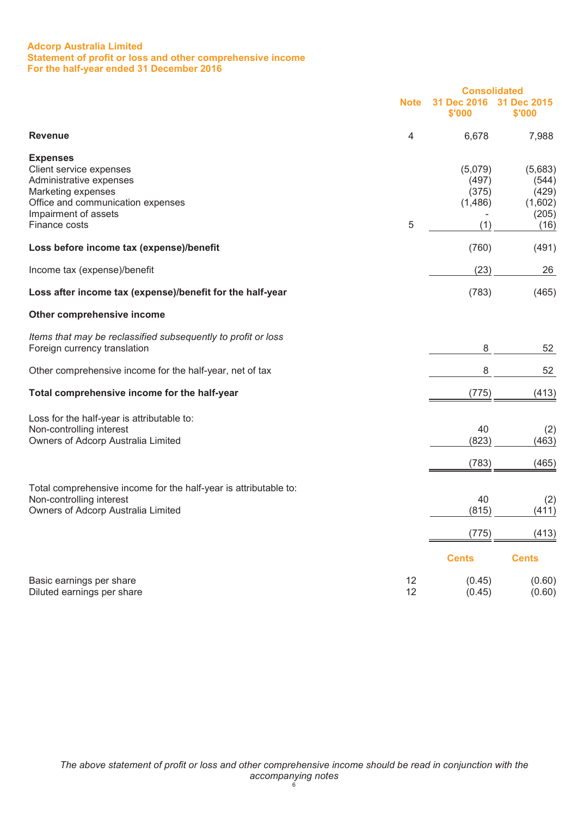#### **Adcorp Australia Limited Statement of profit or loss and other comprehensive income For the half-year ended 31 December 2016**

|                                                                                                                                                                           |             | <b>Consolidated</b>                         |                                                       |
|---------------------------------------------------------------------------------------------------------------------------------------------------------------------------|-------------|---------------------------------------------|-------------------------------------------------------|
|                                                                                                                                                                           | <b>Note</b> | 31 Dec 2016<br>\$'000                       | 31.<br><b>Dec 2015</b><br>\$'000                      |
| <b>Revenue</b>                                                                                                                                                            | 4           | 6,678                                       | 7,988                                                 |
| <b>Expenses</b><br>Client service expenses<br>Administrative expenses<br>Marketing expenses<br>Office and communication expenses<br>Impairment of assets<br>Finance costs | 5           | (5,079)<br>(497)<br>(375)<br>(1,486)<br>(1) | (5,683)<br>(544)<br>(429)<br>(1,602)<br>(205)<br>(16) |
| Loss before income tax (expense)/benefit                                                                                                                                  |             | (760)                                       | (491)                                                 |
| Income tax (expense)/benefit                                                                                                                                              |             | (23)                                        | 26                                                    |
| Loss after income tax (expense)/benefit for the half-year                                                                                                                 |             | (783)                                       | (465)                                                 |
| Other comprehensive income                                                                                                                                                |             |                                             |                                                       |
| Items that may be reclassified subsequently to profit or loss<br>Foreign currency translation                                                                             |             | 8                                           | 52                                                    |
| Other comprehensive income for the half-year, net of tax                                                                                                                  |             | 8                                           | 52                                                    |
| Total comprehensive income for the half-year                                                                                                                              |             | (775)                                       | (413)                                                 |
| Loss for the half-year is attributable to:<br>Non-controlling interest<br>Owners of Adcorp Australia Limited                                                              |             | 40<br>(823)<br>(783)                        | (2)<br>(463)<br>(465)                                 |
| Total comprehensive income for the half-year is attributable to:<br>Non-controlling interest<br>Owners of Adcorp Australia Limited                                        |             | 40<br>(815)                                 | (2)<br>(411)                                          |
|                                                                                                                                                                           |             | (775)                                       | (413)                                                 |
|                                                                                                                                                                           |             | <b>Cents</b>                                | <b>Cents</b>                                          |
| Basic earnings per share<br>Diluted earnings per share                                                                                                                    | 12<br>12    | (0.45)<br>(0.45)                            | (0.60)<br>(0.60)                                      |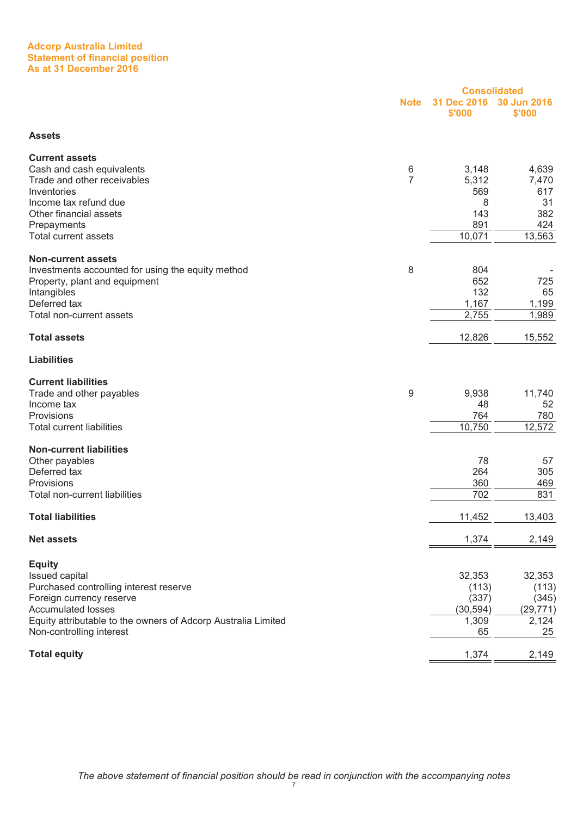#### **Adcorp Australia Limited Statement of financial position As at 31 December 2016**

|                                                               |                | <b>Consolidated</b>   |                       |  |
|---------------------------------------------------------------|----------------|-----------------------|-----------------------|--|
|                                                               | <b>Note</b>    | 31 Dec 2016<br>\$'000 | 30 Jun 2016<br>\$'000 |  |
| <b>Assets</b>                                                 |                |                       |                       |  |
| <b>Current assets</b>                                         |                |                       |                       |  |
| Cash and cash equivalents                                     | 6              | 3,148                 | 4,639                 |  |
| Trade and other receivables                                   | $\overline{7}$ | 5,312                 | 7,470                 |  |
| Inventories                                                   |                | 569                   | 617                   |  |
| Income tax refund due                                         |                | 8                     | 31                    |  |
| Other financial assets                                        |                | 143                   | 382                   |  |
| Prepayments                                                   |                | 891                   | 424                   |  |
| Total current assets                                          |                | 10,071                | 13,563                |  |
| <b>Non-current assets</b>                                     |                |                       |                       |  |
| Investments accounted for using the equity method             | 8              | 804                   |                       |  |
| Property, plant and equipment                                 |                | 652                   | 725                   |  |
| Intangibles                                                   |                | 132                   | 65                    |  |
| Deferred tax                                                  |                | 1,167                 | 1,199                 |  |
| Total non-current assets                                      |                | 2,755                 | 1,989                 |  |
| <b>Total assets</b>                                           |                | 12,826                | 15,552                |  |
| <b>Liabilities</b>                                            |                |                       |                       |  |
| <b>Current liabilities</b>                                    |                |                       |                       |  |
| Trade and other payables                                      | 9              | 9,938                 | 11,740                |  |
| Income tax                                                    |                | 48                    | 52                    |  |
| Provisions                                                    |                | 764                   | 780                   |  |
| <b>Total current liabilities</b>                              |                | 10,750                | 12,572                |  |
| <b>Non-current liabilities</b>                                |                |                       |                       |  |
| Other payables                                                |                | 78                    | 57                    |  |
| Deferred tax                                                  |                | 264                   | 305                   |  |
| Provisions                                                    |                | 360                   | 469                   |  |
| <b>Total non-current liabilities</b>                          |                | 702                   | 831                   |  |
| <b>Total liabilities</b>                                      |                | 11,452                | 13,403                |  |
|                                                               |                |                       |                       |  |
| <b>Net assets</b>                                             |                | 1,374                 | 2,149                 |  |
| <b>Equity</b>                                                 |                |                       |                       |  |
| Issued capital                                                |                | 32,353                | 32,353                |  |
| Purchased controlling interest reserve                        |                | (113)                 | (113)                 |  |
| Foreign currency reserve                                      |                | (337)                 | (345)                 |  |
| <b>Accumulated losses</b>                                     |                | (30, 594)             | (29, 771)             |  |
| Equity attributable to the owners of Adcorp Australia Limited |                | 1,309                 | 2,124                 |  |
| Non-controlling interest                                      |                | 65                    | 25                    |  |
| <b>Total equity</b>                                           |                | 1,374                 | 2,149                 |  |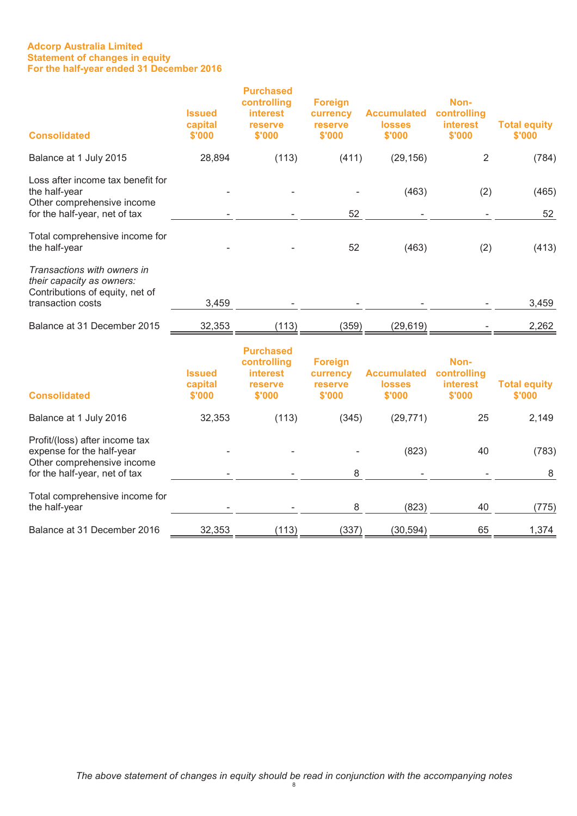#### **Adcorp Australia Limited Statement of changes in equity For the half-year ended 31 December 2016**

| <b>Consolidated</b>                                                                                                        | <b>Issued</b><br>capital<br>\$'000 | <b>Purchased</b><br>controlling<br><b>interest</b><br>reserve<br>\$'000 | <b>Foreign</b><br>currency<br><b>reserve</b><br>\$'000 | <b>Accumulated</b><br><b>losses</b><br>\$'000 | Non-<br>controlling<br><b>interest</b><br>\$'000 | <b>Total equity</b><br>\$'000 |
|----------------------------------------------------------------------------------------------------------------------------|------------------------------------|-------------------------------------------------------------------------|--------------------------------------------------------|-----------------------------------------------|--------------------------------------------------|-------------------------------|
| Balance at 1 July 2015                                                                                                     | 28,894                             | (113)                                                                   | (411)                                                  | (29, 156)                                     | $\overline{2}$                                   | (784)                         |
| Loss after income tax benefit for<br>the half-year<br>Other comprehensive income                                           |                                    |                                                                         |                                                        | (463)                                         | (2)                                              | (465)                         |
| for the half-year, net of tax                                                                                              |                                    |                                                                         | 52                                                     |                                               |                                                  | 52                            |
| Total comprehensive income for<br>the half-year                                                                            |                                    |                                                                         | 52                                                     | (463)                                         | (2)                                              | (413)                         |
| Transactions with owners in<br>their capacity as owners:<br>Contributions of equity, net of<br>transaction costs           | 3,459                              |                                                                         |                                                        |                                               |                                                  | 3,459                         |
| Balance at 31 December 2015                                                                                                | 32,353                             | (113)                                                                   | (359)                                                  | (29, 619)                                     |                                                  | 2,262                         |
| <b>Consolidated</b>                                                                                                        | <b>Issued</b><br>capital<br>\$'000 | <b>Purchased</b><br>controlling<br><b>interest</b><br>reserve<br>\$'000 | <b>Foreign</b><br>currency<br>reserve<br>\$'000        | <b>Accumulated</b><br><b>losses</b><br>\$'000 | Non-<br>controlling<br>interest<br>\$'000        | <b>Total equity</b><br>\$'000 |
| Balance at 1 July 2016                                                                                                     | 32,353                             | (113)                                                                   | (345)                                                  | (29, 771)                                     | 25                                               | 2,149                         |
| Profit/(loss) after income tax<br>expense for the half-year<br>Other comprehensive income<br>for the half-year, net of tax |                                    |                                                                         | 8                                                      | (823)                                         | 40                                               | (783)<br>8                    |
| Total comprehensive income for<br>the half-year                                                                            |                                    |                                                                         | 8                                                      | (823)                                         | 40                                               | (775)                         |
| Balance at 31 December 2016                                                                                                | 32,353                             | (113)                                                                   | (337)                                                  | (30, 594)                                     | 65                                               | 1,374                         |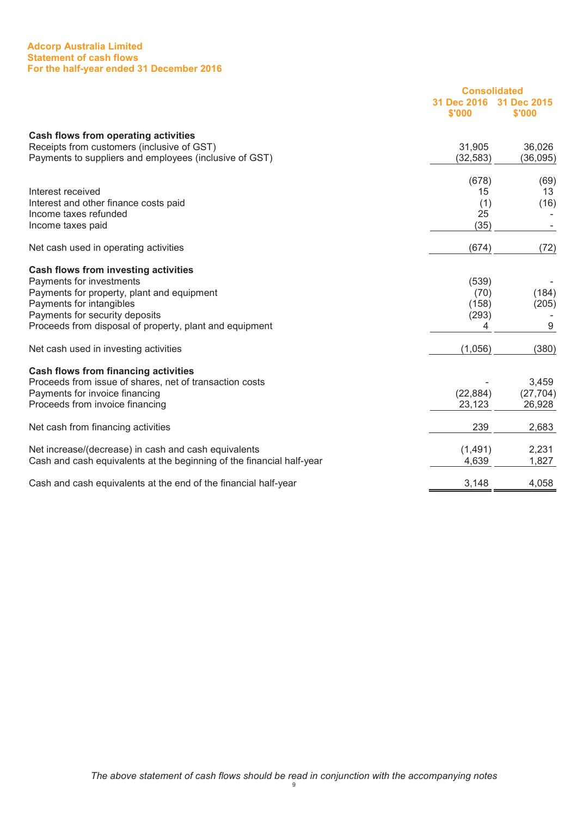#### **Adcorp Australia Limited Statement of cash flows For the half-year ended 31 December 2016**

|                                                                       | <b>Consolidated</b>   |                       |
|-----------------------------------------------------------------------|-----------------------|-----------------------|
|                                                                       | 31 Dec 2016<br>\$'000 | 31 Dec 2015<br>\$'000 |
| Cash flows from operating activities                                  |                       |                       |
| Receipts from customers (inclusive of GST)                            | 31,905                | 36,026                |
| Payments to suppliers and employees (inclusive of GST)                | (32, 583)             | (36,095)              |
|                                                                       | (678)                 | (69)                  |
| Interest received                                                     | 15                    | 13                    |
| Interest and other finance costs paid                                 | (1)                   | (16)                  |
| Income taxes refunded                                                 | 25                    |                       |
| Income taxes paid                                                     | (35)                  |                       |
| Net cash used in operating activities                                 | (674)                 | (72)                  |
| Cash flows from investing activities                                  |                       |                       |
| Payments for investments                                              | (539)                 |                       |
| Payments for property, plant and equipment                            | (70)                  | (184)                 |
| Payments for intangibles                                              | (158)                 | (205)                 |
| Payments for security deposits                                        | (293)                 |                       |
| Proceeds from disposal of property, plant and equipment               | 4                     | 9                     |
| Net cash used in investing activities                                 | (1,056)               | (380)                 |
| <b>Cash flows from financing activities</b>                           |                       |                       |
| Proceeds from issue of shares, net of transaction costs               |                       | 3,459                 |
| Payments for invoice financing                                        | (22, 884)             | (27, 704)             |
| Proceeds from invoice financing                                       | 23,123                | 26,928                |
| Net cash from financing activities                                    | 239                   | 2,683                 |
| Net increase/(decrease) in cash and cash equivalents                  | (1,491)               | 2,231                 |
| Cash and cash equivalents at the beginning of the financial half-year | 4,639                 | 1,827                 |
| Cash and cash equivalents at the end of the financial half-year       | 3,148                 | 4,058                 |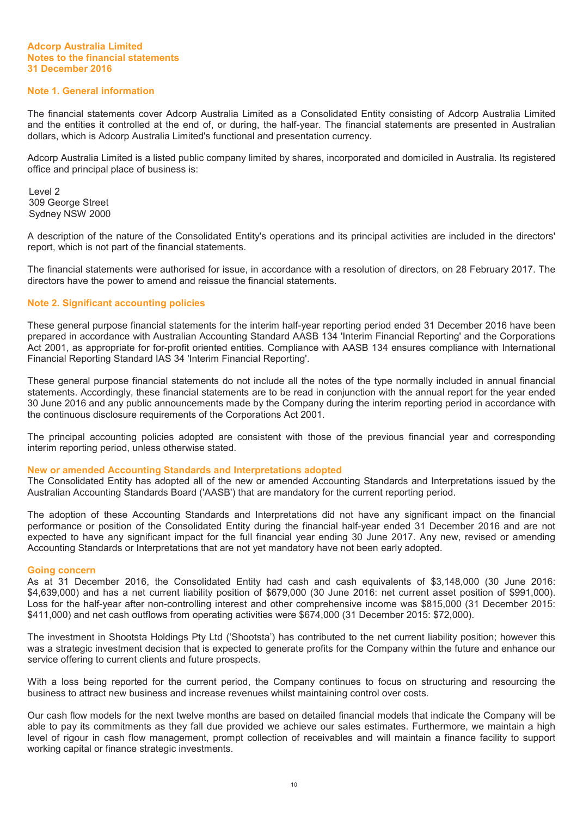#### **Note 1. General information**

The financial statements cover Adcorp Australia Limited as a Consolidated Entity consisting of Adcorp Australia Limited and the entities it controlled at the end of, or during, the half-year. The financial statements are presented in Australian dollars, which is Adcorp Australia Limited's functional and presentation currency.

Adcorp Australia Limited is a listed public company limited by shares, incorporated and domiciled in Australia. Its registered office and principal place of business is:

Level 2 309 George Street Sydney NSW 2000

A description of the nature of the Consolidated Entity's operations and its principal activities are included in the directors' report, which is not part of the financial statements.

The financial statements were authorised for issue, in accordance with a resolution of directors, on 28 February 2017. The directors have the power to amend and reissue the financial statements.

#### **Note 2. Significant accounting policies**

These general purpose financial statements for the interim half-year reporting period ended 31 December 2016 have been prepared in accordance with Australian Accounting Standard AASB 134 'Interim Financial Reporting' and the Corporations Act 2001, as appropriate for for-profit oriented entities. Compliance with AASB 134 ensures compliance with International Financial Reporting Standard IAS 34 'Interim Financial Reporting'.

These general purpose financial statements do not include all the notes of the type normally included in annual financial statements. Accordingly, these financial statements are to be read in conjunction with the annual report for the year ended 30 June 2016 and any public announcements made by the Company during the interim reporting period in accordance with the continuous disclosure requirements of the Corporations Act 2001.

The principal accounting policies adopted are consistent with those of the previous financial year and corresponding interim reporting period, unless otherwise stated.

#### **New or amended Accounting Standards and Interpretations adopted**

The Consolidated Entity has adopted all of the new or amended Accounting Standards and Interpretations issued by the Australian Accounting Standards Board ('AASB') that are mandatory for the current reporting period.

The adoption of these Accounting Standards and Interpretations did not have any significant impact on the financial performance or position of the Consolidated Entity during the financial half-year ended 31 December 2016 and are not expected to have any significant impact for the full financial year ending 30 June 2017. Any new, revised or amending Accounting Standards or Interpretations that are not yet mandatory have not been early adopted.

#### **Going concern**

As at 31 December 2016, the Consolidated Entity had cash and cash equivalents of \$3,148,000 (30 June 2016: \$4,639,000) and has a net current liability position of \$679,000 (30 June 2016: net current asset position of \$991,000). Loss for the half-year after non-controlling interest and other comprehensive income was \$815,000 (31 December 2015: \$411,000) and net cash outflows from operating activities were \$674,000 (31 December 2015: \$72,000).

The investment in Shootsta Holdings Pty Ltd ('Shootsta') has contributed to the net current liability position; however this was a strategic investment decision that is expected to generate profits for the Company within the future and enhance our service offering to current clients and future prospects.

With a loss being reported for the current period, the Company continues to focus on structuring and resourcing the business to attract new business and increase revenues whilst maintaining control over costs.

Our cash flow models for the next twelve months are based on detailed financial models that indicate the Company will be able to pay its commitments as they fall due provided we achieve our sales estimates. Furthermore, we maintain a high level of rigour in cash flow management, prompt collection of receivables and will maintain a finance facility to support working capital or finance strategic investments.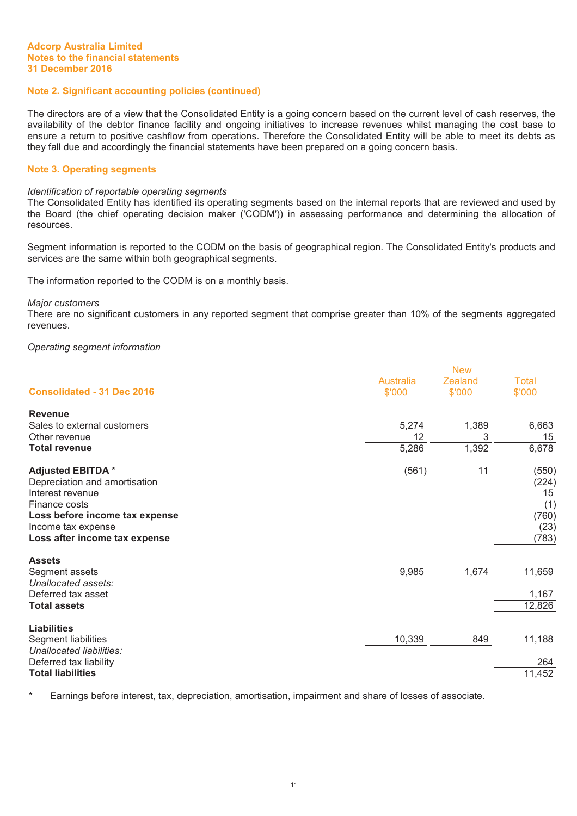#### **Note 2. Significant accounting policies (continued)**

The directors are of a view that the Consolidated Entity is a going concern based on the current level of cash reserves, the availability of the debtor finance facility and ongoing initiatives to increase revenues whilst managing the cost base to ensure a return to positive cashflow from operations. Therefore the Consolidated Entity will be able to meet its debts as they fall due and accordingly the financial statements have been prepared on a going concern basis.

#### **Note 3. Operating segments**

#### *Identification of reportable operating segments*

The Consolidated Entity has identified its operating segments based on the internal reports that are reviewed and used by the Board (the chief operating decision maker ('CODM')) in assessing performance and determining the allocation of resources.

Segment information is reported to the CODM on the basis of geographical region. The Consolidated Entity's products and services are the same within both geographical segments.

The information reported to the CODM is on a monthly basis.

*Major customers* 

There are no significant customers in any reported segment that comprise greater than 10% of the segments aggregated revenues.

#### *Operating segment information*

|                                   | <b>New</b>                 |                   |                        |  |
|-----------------------------------|----------------------------|-------------------|------------------------|--|
| <b>Consolidated - 31 Dec 2016</b> | <b>Australia</b><br>\$'000 | Zealand<br>\$'000 | <b>Total</b><br>\$'000 |  |
| <b>Revenue</b>                    |                            |                   |                        |  |
| Sales to external customers       | 5,274                      | 1,389             | 6,663                  |  |
| Other revenue                     | 12                         | 3                 | 15                     |  |
| <b>Total revenue</b>              | 5,286                      | 1,392             | 6,678                  |  |
| <b>Adjusted EBITDA*</b>           | (561)                      | 11                | (550)                  |  |
| Depreciation and amortisation     |                            |                   | (224)                  |  |
| Interest revenue                  |                            |                   | 15                     |  |
| Finance costs                     |                            |                   | (1)                    |  |
| Loss before income tax expense    |                            |                   | (760)                  |  |
| Income tax expense                |                            |                   | (23)                   |  |
| Loss after income tax expense     |                            |                   | (783)                  |  |
| <b>Assets</b>                     |                            |                   |                        |  |
| Segment assets                    | 9,985                      | 1,674             | 11,659                 |  |
| Unallocated assets:               |                            |                   |                        |  |
| Deferred tax asset                |                            |                   | 1,167                  |  |
| <b>Total assets</b>               |                            |                   | 12,826                 |  |
| <b>Liabilities</b>                |                            |                   |                        |  |
| Segment liabilities               | 10,339                     | 849               | 11,188                 |  |
| Unallocated liabilities:          |                            |                   |                        |  |
| Deferred tax liability            |                            |                   | 264                    |  |
| <b>Total liabilities</b>          |                            |                   | 11,452                 |  |

Earnings before interest, tax, depreciation, amortisation, impairment and share of losses of associate.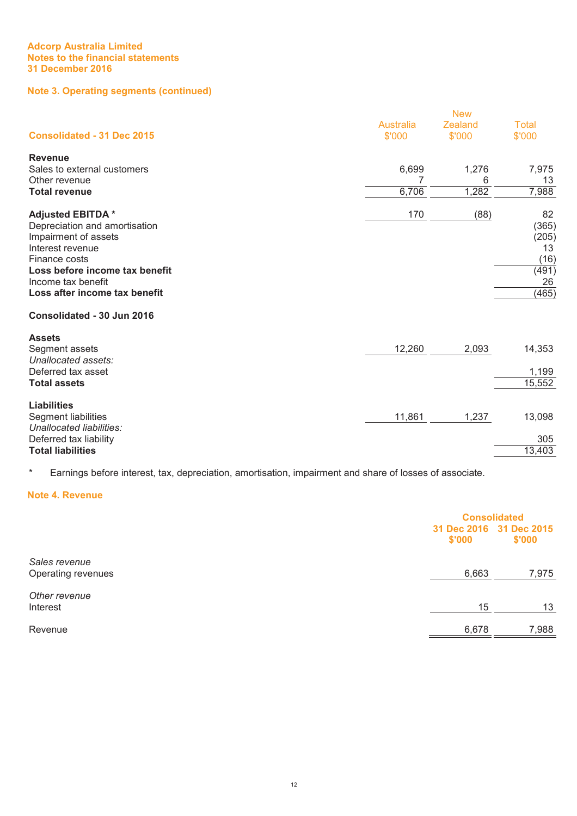#### **Note 3. Operating segments (continued)**

|                                   | <b>New</b>                 |                   |                        |  |
|-----------------------------------|----------------------------|-------------------|------------------------|--|
| <b>Consolidated - 31 Dec 2015</b> | <b>Australia</b><br>\$'000 | Zealand<br>\$'000 | <b>Total</b><br>\$'000 |  |
| <b>Revenue</b>                    |                            |                   |                        |  |
| Sales to external customers       | 6,699                      | 1,276             | 7,975                  |  |
| Other revenue                     | 7                          | 6                 | 13                     |  |
| <b>Total revenue</b>              | 6,706                      | 1,282             | 7,988                  |  |
| <b>Adjusted EBITDA*</b>           | 170                        | (88)              | 82                     |  |
| Depreciation and amortisation     |                            |                   | (365)                  |  |
| Impairment of assets              |                            |                   | (205)                  |  |
| Interest revenue                  |                            |                   | 13                     |  |
| Finance costs                     |                            |                   | (16)                   |  |
| Loss before income tax benefit    |                            |                   | (491)                  |  |
| Income tax benefit                |                            |                   | 26                     |  |
| Loss after income tax benefit     |                            |                   | (465)                  |  |
| Consolidated - 30 Jun 2016        |                            |                   |                        |  |
| <b>Assets</b>                     |                            |                   |                        |  |
| Segment assets                    | 12,260                     | 2,093             | 14,353                 |  |
| Unallocated assets:               |                            |                   |                        |  |
| Deferred tax asset                |                            |                   | 1,199                  |  |
| <b>Total assets</b>               |                            |                   | 15,552                 |  |
| <b>Liabilities</b>                |                            |                   |                        |  |
| Segment liabilities               | 11,861                     | 1,237             | 13,098                 |  |
| Unallocated liabilities:          |                            |                   |                        |  |
| Deferred tax liability            |                            |                   | 305                    |  |
| <b>Total liabilities</b>          |                            |                   | 13,403                 |  |
|                                   |                            |                   |                        |  |

\* Earnings before interest, tax, depreciation, amortisation, impairment and share of losses of associate.

#### **Note 4. Revenue**

|                                     | <b>Consolidated</b> |                                   |
|-------------------------------------|---------------------|-----------------------------------|
|                                     | \$'000              | 31 Dec 2016 31 Dec 2015<br>\$'000 |
| Sales revenue<br>Operating revenues | 6,663               | 7,975                             |
| Other revenue<br>Interest           | 15                  | 13                                |
| Revenue                             | 6,678               | 7,988                             |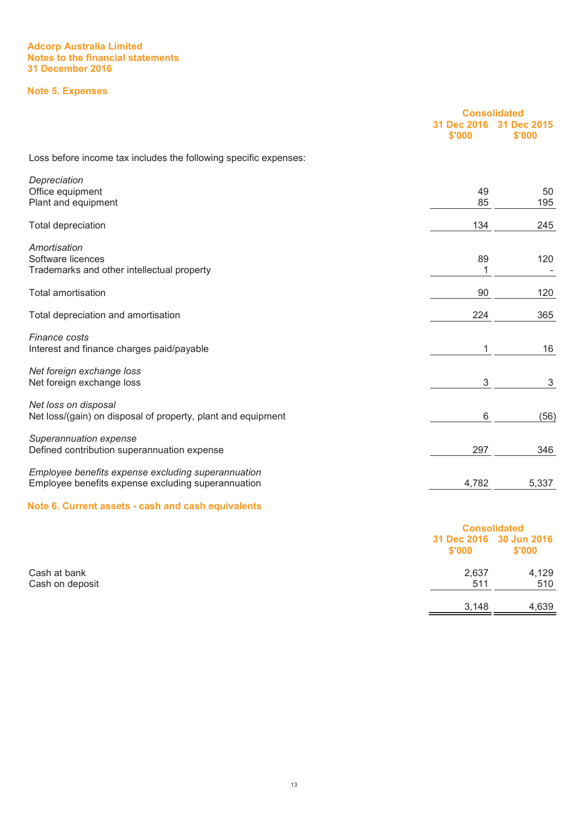#### **Note 5. Expenses**

|                                                                                                          | <b>Consolidated</b><br>31 Dec 2016<br>\$'000 | 31 Dec 2015<br>\$'000 |
|----------------------------------------------------------------------------------------------------------|----------------------------------------------|-----------------------|
| Loss before income tax includes the following specific expenses:                                         |                                              |                       |
| Depreciation<br>Office equipment<br>Plant and equipment                                                  | 49<br>85                                     | 50<br>195             |
| Total depreciation                                                                                       | 134                                          | 245                   |
| Amortisation<br>Software licences<br>Trademarks and other intellectual property                          | 89<br>1                                      | 120                   |
| <b>Total amortisation</b>                                                                                | 90                                           | 120                   |
| Total depreciation and amortisation                                                                      | 224                                          | 365                   |
| Finance costs<br>Interest and finance charges paid/payable                                               | 1                                            | 16                    |
| Net foreign exchange loss<br>Net foreign exchange loss                                                   | 3                                            | $\sqrt{3}$            |
| Net loss on disposal<br>Net loss/(gain) on disposal of property, plant and equipment                     | 6                                            | (56)                  |
| Superannuation expense<br>Defined contribution superannuation expense                                    | 297                                          | 346                   |
| Employee benefits expense excluding superannuation<br>Employee benefits expense excluding superannuation | 4,782                                        | 5,337                 |

#### **Note 6. Current assets - cash and cash equivalents**

|                 |        | <b>Consolidated</b>               |  |
|-----------------|--------|-----------------------------------|--|
|                 | \$'000 | 31 Dec 2016 30 Jun 2016<br>\$'000 |  |
| Cash at bank    | 2,637  | 4,129                             |  |
| Cash on deposit | 511    | 510                               |  |
|                 | 3,148  | 4,639                             |  |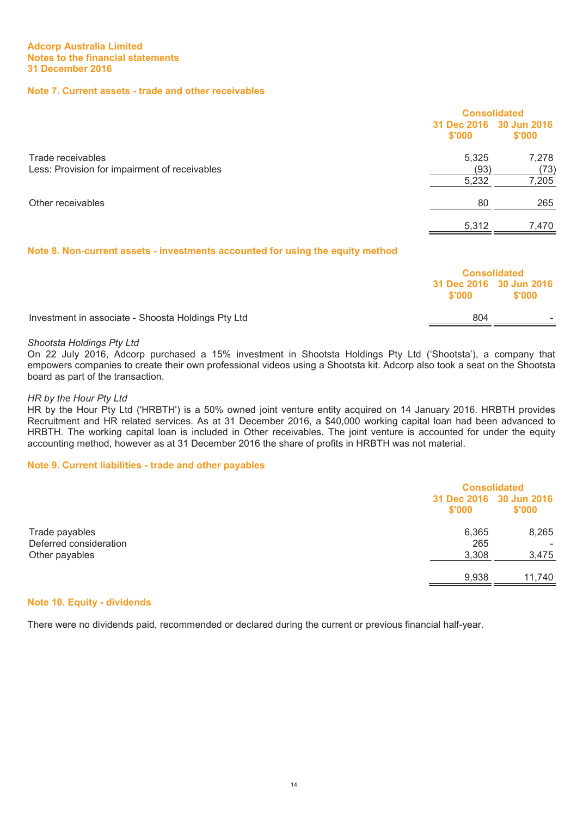#### **Note 7. Current assets - trade and other receivables**

|                                                                    | <b>Consolidated</b> |                                   |
|--------------------------------------------------------------------|---------------------|-----------------------------------|
|                                                                    | \$'000              | 31 Dec 2016 30 Jun 2016<br>\$'000 |
| Trade receivables<br>Less: Provision for impairment of receivables | 5,325<br>(93)       | 7,278<br>(73)                     |
|                                                                    | 5,232               | 7,205                             |
| Other receivables                                                  | 80                  | 265                               |
|                                                                    | 5,312               | 7,470                             |

#### **Note 8. Non-current assets - investments accounted for using the equity method**

|                                                    |        | <b>Consolidated</b>               |  |
|----------------------------------------------------|--------|-----------------------------------|--|
|                                                    | \$'000 | 31 Dec 2016 30 Jun 2016<br>\$'000 |  |
| Investment in associate - Shoosta Holdings Pty Ltd | 804    |                                   |  |

#### *Shootsta Holdings Pty Ltd*

On 22 July 2016, Adcorp purchased a 15% investment in Shootsta Holdings Pty Ltd ('Shootsta'), a company that empowers companies to create their own professional videos using a Shootsta kit. Adcorp also took a seat on the Shootsta board as part of the transaction.

#### *HR by the Hour Pty Ltd*

HR by the Hour Pty Ltd ('HRBTH') is a 50% owned joint venture entity acquired on 14 January 2016. HRBTH provides Recruitment and HR related services. As at 31 December 2016, a \$40,000 working capital loan had been advanced to HRBTH. The working capital loan is included in Other receivables. The joint venture is accounted for under the equity accounting method, however as at 31 December 2016 the share of profits in HRBTH was not material.

#### **Note 9. Current liabilities - trade and other payables**

|                        | <b>Consolidated</b> |                                   |
|------------------------|---------------------|-----------------------------------|
|                        | \$'000              | 31 Dec 2016 30 Jun 2016<br>\$'000 |
| Trade payables         | 6,365               | 8,265                             |
| Deferred consideration | 265                 |                                   |
| Other payables         | 3,308               | 3,475                             |
|                        | 9,938               | 11,740                            |

#### **Note 10. Equity - dividends**

There were no dividends paid, recommended or declared during the current or previous financial half-year.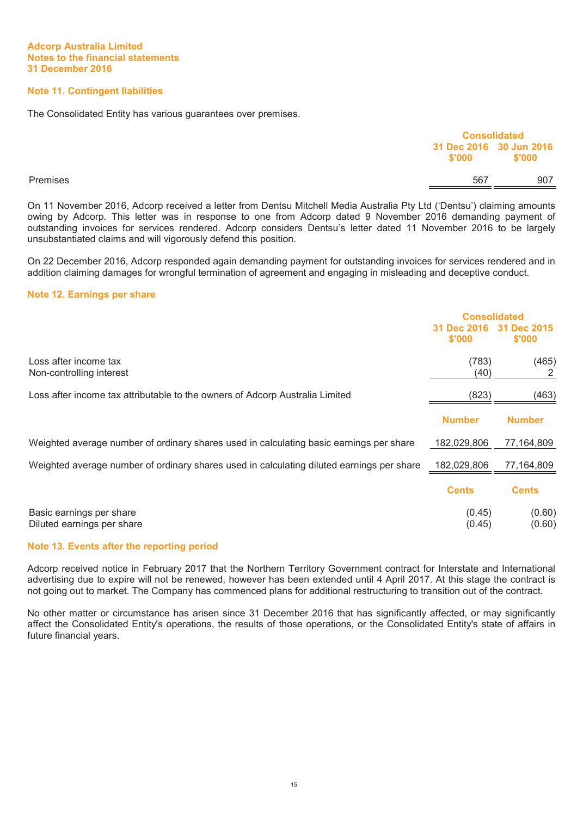#### **Note 11. Contingent liabilities**

The Consolidated Entity has various guarantees over premises.

|          |                                   | <b>Consolidated</b> |  |
|----------|-----------------------------------|---------------------|--|
|          | 31 Dec 2016 30 Jun 2016<br>\$'000 | \$'000              |  |
| Premises | 567                               | 907                 |  |

On 11 November 2016, Adcorp received a letter from Dentsu Mitchell Media Australia Pty Ltd ('Dentsu') claiming amounts owing by Adcorp. This letter was in response to one from Adcorp dated 9 November 2016 demanding payment of outstanding invoices for services rendered. Adcorp considers Dentsu's letter dated 11 November 2016 to be largely unsubstantiated claims and will vigorously defend this position.

On 22 December 2016, Adcorp responded again demanding payment for outstanding invoices for services rendered and in addition claiming damages for wrongful termination of agreement and engaging in misleading and deceptive conduct.

#### **Note 12. Earnings per share**

|                                                                                           | <b>Consolidated</b>   |                       |
|-------------------------------------------------------------------------------------------|-----------------------|-----------------------|
|                                                                                           | 31 Dec 2016<br>\$'000 | 31 Dec 2015<br>\$'000 |
| Loss after income tax<br>Non-controlling interest                                         | (783)<br>(40)         | (465)<br>2            |
| Loss after income tax attributable to the owners of Adcorp Australia Limited              | (823)                 | (463)                 |
|                                                                                           | <b>Number</b>         | <b>Number</b>         |
| Weighted average number of ordinary shares used in calculating basic earnings per share   | 182,029,806           | 77,164,809            |
| Weighted average number of ordinary shares used in calculating diluted earnings per share | 182,029,806           | 77,164,809            |
|                                                                                           | <b>Cents</b>          | <b>Cents</b>          |
| Basic earnings per share<br>Diluted earnings per share                                    | (0.45)<br>(0.45)      | (0.60)<br>(0.60)      |

#### **Note 13. Events after the reporting period**

Adcorp received notice in February 2017 that the Northern Territory Government contract for Interstate and International advertising due to expire will not be renewed, however has been extended until 4 April 2017. At this stage the contract is not going out to market. The Company has commenced plans for additional restructuring to transition out of the contract.

No other matter or circumstance has arisen since 31 December 2016 that has significantly affected, or may significantly affect the Consolidated Entity's operations, the results of those operations, or the Consolidated Entity's state of affairs in future financial years.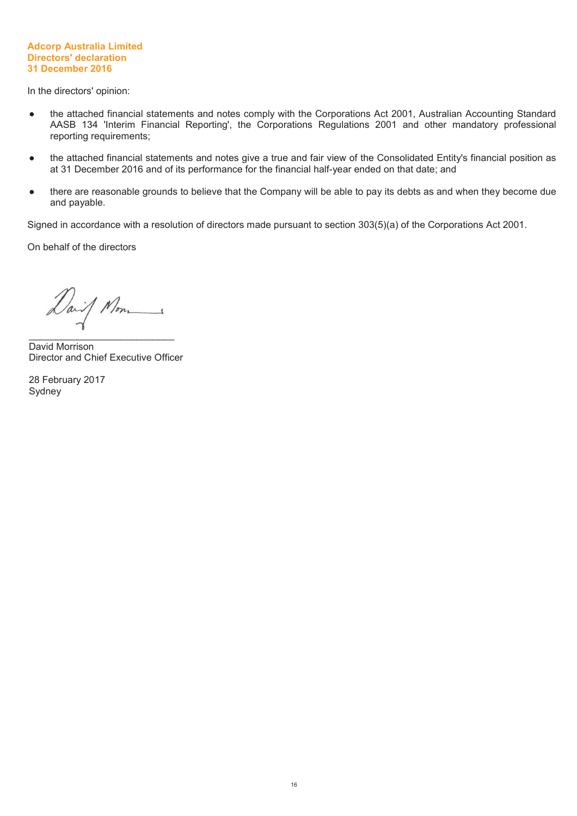#### **Adcorp Australia Limited Directors' declaration 31 December 2016**

In the directors' opinion:

- the attached financial statements and notes comply with the Corporations Act 2001, Australian Accounting Standard AASB 134 'Interim Financial Reporting', the Corporations Regulations 2001 and other mandatory professional reporting requirements;
- the attached financial statements and notes give a true and fair view of the Consolidated Entity's financial position as at 31 December 2016 and of its performance for the financial half-year ended on that date; and
- there are reasonable grounds to believe that the Company will be able to pay its debts as and when they become due and payable.

Signed in accordance with a resolution of directors made pursuant to section 303(5)(a) of the Corporations Act 2001.

On behalf of the directors

Daif Mon  $\mathcal{L}_\text{max}$  , and the set of the set of the set of the set of the set of the set of the set of the set of the set of the set of the set of the set of the set of the set of the set of the set of the set of the set of the

David Morrison Director and Chief Executive Officer

28 February 2017 Sydney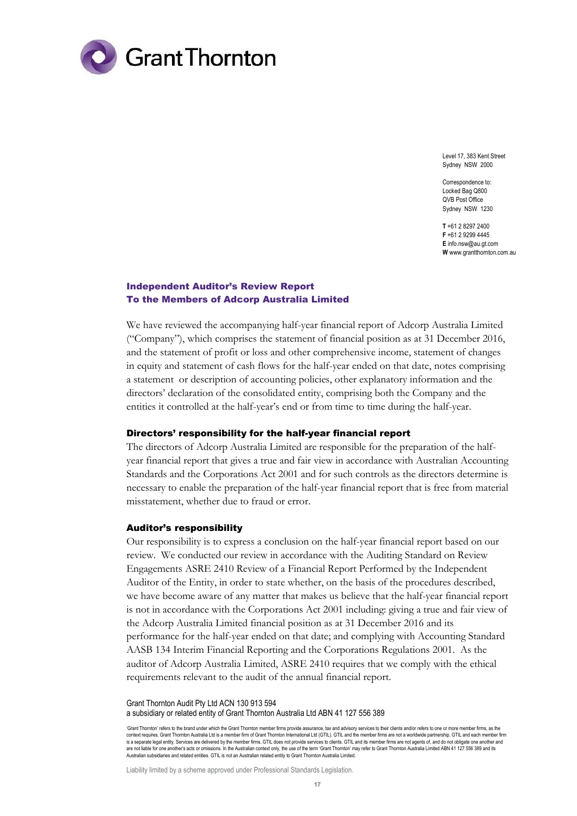

Level 17, 383 Kent Street Sydney NSW 2000

Correspondence to: Locked Bag Q800 QVB Post Office Sydney NSW 1230

**T** +61 2 8297 2400 **F** +61 2 9299 4445 **E** info.nsw@au.gt.com **W** www.grantthornton.com.au

#### Independent Auditor's Review Report To the Members of Adcorp Australia Limited

We have reviewed the accompanying half-year financial report of Adcorp Australia Limited ("Company"), which comprises the statement of financial position as at 31 December 2016, and the statement of profit or loss and other comprehensive income, statement of changes in equity and statement of cash flows for the half-year ended on that date, notes comprising a statement or description of accounting policies, other explanatory information and the directors' declaration of the consolidated entity, comprising both the Company and the entities it controlled at the half-year's end or from time to time during the half-year.

#### Directors' responsibility for the half-year financial report

The directors of Adcorp Australia Limited are responsible for the preparation of the halfyear financial report that gives a true and fair view in accordance with Australian Accounting Standards and the Corporations Act 2001 and for such controls as the directors determine is necessary to enable the preparation of the half-year financial report that is free from material misstatement, whether due to fraud or error.

#### Auditor's responsibility

Our responsibility is to express a conclusion on the half-year financial report based on our review. We conducted our review in accordance with the Auditing Standard on Review Engagements ASRE 2410 Review of a Financial Report Performed by the Independent Auditor of the Entity, in order to state whether, on the basis of the procedures described, we have become aware of any matter that makes us believe that the half-year financial report is not in accordance with the Corporations Act 2001 including: giving a true and fair view of the Adcorp Australia Limited financial position as at 31 December 2016 and its performance for the half-year ended on that date; and complying with Accounting Standard AASB 134 Interim Financial Reporting and the Corporations Regulations 2001. As the auditor of Adcorp Australia Limited, ASRE 2410 requires that we comply with the ethical requirements relevant to the audit of the annual financial report.

Grant Thornton Audit Pty Ltd ACN 130 913 594 a subsidiary or related entity of Grant Thornton Australia Ltd ABN 41 127 556 389

'Grant Thornton' refers to the brand under which the Grant Thornton member firms provide assurance, tax and advisory services to their clients and/or refers to one or more member firms, as the context requires. Grant Thornton Australia Ltd is a member firm of Grant Thornton International Ltd (GTIL). GTIL and the member firms are not a worldwide partnership. GTIL and each member firm is a separate legal entity. Services are delivered by the member firms. GTIL does not provide services to clients. GTIL and its member firms are not agents of, and do not obligate one another and<br>are not liable for one ano Australian subsidiaries and related entities. GTIL is not an Australian related entity to Grant Thornton Australia Limited.

Liability limited by a scheme approved under Professional Standards Legislation.